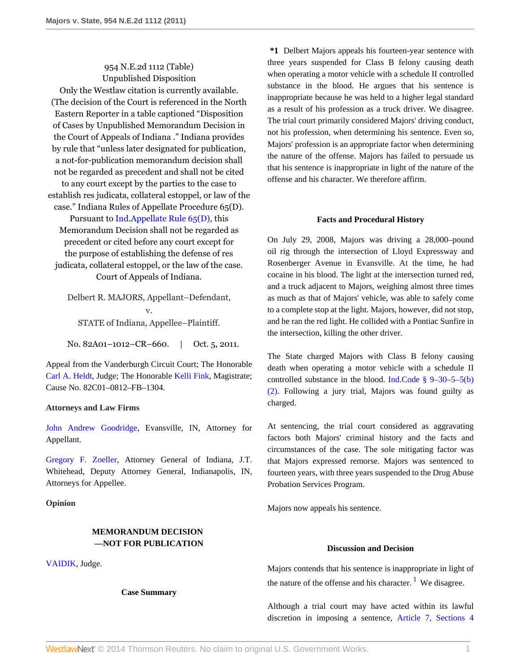# 954 N.E.2d 1112 (Table) Unpublished Disposition

Only the Westlaw citation is currently available. (The decision of the Court is referenced in the North Eastern Reporter in a table captioned "Disposition of Cases by Unpublished Memorandum Decision in the Court of Appeals of Indiana ." Indiana provides by rule that "unless later designated for publication, a not-for-publication memorandum decision shall not be regarded as precedent and shall not be cited to any court except by the parties to the case to establish res judicata, collateral estoppel, or law of the case." Indiana Rules of Appellate Procedure 65(D). Pursuant to [Ind.Appellate Rule 65\(D\)](http://www.westlaw.com/Link/Document/FullText?findType=L&pubNum=1000009&cite=INSRAPR65&originatingDoc=I1fdcf71df01111e0a9e5bdc02ef2b18e&refType=LQ&originationContext=document&vr=3.0&rs=cblt1.0&transitionType=DocumentItem&contextData=(sc.Search)), this

Memorandum Decision shall not be regarded as precedent or cited before any court except for the purpose of establishing the defense of res judicata, collateral estoppel, or the law of the case. Court of Appeals of Indiana.

Delbert R. MAJORS, Appellant–Defendant, v. STATE of Indiana, Appellee–Plaintiff.

No. 82A01-1012-CR-660. | Oct. 5, 2011.

Appeal from the Vanderburgh Circuit Court; The Honorable [Carl A. Heldt](http://www.westlaw.com/Link/Document/FullText?findType=h&pubNum=176284&cite=0222569401&originatingDoc=I1fdcf71df01111e0a9e5bdc02ef2b18e&refType=RQ&originationContext=document&vr=3.0&rs=cblt1.0&transitionType=DocumentItem&contextData=(sc.Search)), Judge; The Honorable [Kelli Fink](http://www.westlaw.com/Link/Document/FullText?findType=h&pubNum=176284&cite=0444830901&originatingDoc=I1fdcf71df01111e0a9e5bdc02ef2b18e&refType=RQ&originationContext=document&vr=3.0&rs=cblt1.0&transitionType=DocumentItem&contextData=(sc.Search)), Magistrate; Cause No. 82C01–0812–FB–1304.

## **Attorneys and Law Firms**

[John Andrew Goodridge,](http://www.westlaw.com/Link/Document/FullText?findType=h&pubNum=176284&cite=0235524701&originatingDoc=I1fdcf71df01111e0a9e5bdc02ef2b18e&refType=RQ&originationContext=document&vr=3.0&rs=cblt1.0&transitionType=DocumentItem&contextData=(sc.Search)) Evansville, IN, Attorney for Appellant.

[Gregory F. Zoeller,](http://www.westlaw.com/Link/Document/FullText?findType=h&pubNum=176284&cite=0136038801&originatingDoc=I1fdcf71df01111e0a9e5bdc02ef2b18e&refType=RQ&originationContext=document&vr=3.0&rs=cblt1.0&transitionType=DocumentItem&contextData=(sc.Search)) Attorney General of Indiana, J.T. Whitehead, Deputy Attorney General, Indianapolis, IN, Attorneys for Appellee.

## **Opinion**

# **MEMORANDUM DECISION —NOT FOR PUBLICATION**

[VAIDIK,](http://www.westlaw.com/Link/Document/FullText?findType=h&pubNum=176284&cite=0213002701&originatingDoc=I1fdcf71df01111e0a9e5bdc02ef2b18e&refType=RQ&originationContext=document&vr=3.0&rs=cblt1.0&transitionType=DocumentItem&contextData=(sc.Search)) Judge.

**Case Summary**

**\*1** Delbert Majors appeals his fourteen-year sentence with three years suspended for Class B felony causing death when operating a motor vehicle with a schedule II controlled substance in the blood. He argues that his sentence is inappropriate because he was held to a higher legal standard as a result of his profession as a truck driver. We disagree. The trial court primarily considered Majors' driving conduct, not his profession, when determining his sentence. Even so, Majors' profession is an appropriate factor when determining the nature of the offense. Majors has failed to persuade us that his sentence is inappropriate in light of the nature of the offense and his character. We therefore affirm.

### **Facts and Procedural History**

On July 29, 2008, Majors was driving a 28,000–pound oil rig through the intersection of Lloyd Expressway and Rosenberger Avenue in Evansville. At the time, he had cocaine in his blood. The light at the intersection turned red, and a truck adjacent to Majors, weighing almost three times as much as that of Majors' vehicle, was able to safely come to a complete stop at the light. Majors, however, did not stop, and he ran the red light. He collided with a Pontiac Sunfire in the intersection, killing the other driver.

The State charged Majors with Class B felony causing death when operating a motor vehicle with a schedule II controlled substance in the blood. [Ind.Code § 9–30–5–5\(b\)](http://www.westlaw.com/Link/Document/FullText?findType=L&pubNum=1000009&cite=INS9-30-5-5&originatingDoc=I1fdcf71df01111e0a9e5bdc02ef2b18e&refType=SP&originationContext=document&vr=3.0&rs=cblt1.0&transitionType=DocumentItem&contextData=(sc.Search)#co_pp_c0ae00006c482) [\(2\).](http://www.westlaw.com/Link/Document/FullText?findType=L&pubNum=1000009&cite=INS9-30-5-5&originatingDoc=I1fdcf71df01111e0a9e5bdc02ef2b18e&refType=SP&originationContext=document&vr=3.0&rs=cblt1.0&transitionType=DocumentItem&contextData=(sc.Search)#co_pp_c0ae00006c482) Following a jury trial, Majors was found guilty as charged.

At sentencing, the trial court considered as aggravating factors both Majors' criminal history and the facts and circumstances of the case. The sole mitigating factor was that Majors expressed remorse. Majors was sentenced to fourteen years, with three years suspended to the Drug Abuse Probation Services Program.

Majors now appeals his sentence.

#### <span id="page-0-0"></span>**Discussion and Decision**

Majors contends that his sentence is inappropriate in light of the nature of the offense and his character.<sup>[1](#page-1-0)</sup> We disagree.

Although a trial court may have acted within its lawful discretion in imposing a sentence, [Article 7, Sections 4](http://www.westlaw.com/Link/Document/FullText?findType=L&pubNum=1000009&cite=INCNART7S4&originatingDoc=I1fdcf71df01111e0a9e5bdc02ef2b18e&refType=LQ&originationContext=document&vr=3.0&rs=cblt1.0&transitionType=DocumentItem&contextData=(sc.Search))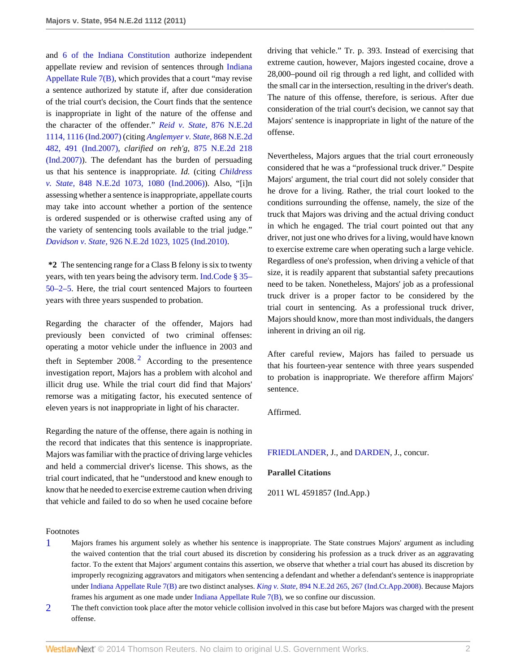and [6 of the Indiana Constitution](http://www.westlaw.com/Link/Document/FullText?findType=L&pubNum=1000009&cite=INCNART7S6&originatingDoc=I1fdcf71df01111e0a9e5bdc02ef2b18e&refType=LQ&originationContext=document&vr=3.0&rs=cblt1.0&transitionType=DocumentItem&contextData=(sc.Search)) authorize independent appellate review and revision of sentences through [Indiana](http://www.westlaw.com/Link/Document/FullText?findType=L&pubNum=1000009&cite=INSRAPR7&originatingDoc=I1fdcf71df01111e0a9e5bdc02ef2b18e&refType=LQ&originationContext=document&vr=3.0&rs=cblt1.0&transitionType=DocumentItem&contextData=(sc.Search)) [Appellate Rule 7\(B\),](http://www.westlaw.com/Link/Document/FullText?findType=L&pubNum=1000009&cite=INSRAPR7&originatingDoc=I1fdcf71df01111e0a9e5bdc02ef2b18e&refType=LQ&originationContext=document&vr=3.0&rs=cblt1.0&transitionType=DocumentItem&contextData=(sc.Search)) which provides that a court "may revise a sentence authorized by statute if, after due consideration of the trial court's decision, the Court finds that the sentence is inappropriate in light of the nature of the offense and the character of the offender." *[Reid v. State,](http://www.westlaw.com/Link/Document/FullText?findType=Y&serNum=2014198471&pubNum=578&fi=co_pp_sp_578_1116&originationContext=document&vr=3.0&rs=cblt1.0&transitionType=DocumentItem&contextData=(sc.Search)#co_pp_sp_578_1116)* 876 N.E.2d [1114, 1116 \(Ind.2007\)](http://www.westlaw.com/Link/Document/FullText?findType=Y&serNum=2014198471&pubNum=578&fi=co_pp_sp_578_1116&originationContext=document&vr=3.0&rs=cblt1.0&transitionType=DocumentItem&contextData=(sc.Search)#co_pp_sp_578_1116) (citing *[Anglemyer v. State,](http://www.westlaw.com/Link/Document/FullText?findType=Y&serNum=2012545885&pubNum=578&fi=co_pp_sp_578_491&originationContext=document&vr=3.0&rs=cblt1.0&transitionType=DocumentItem&contextData=(sc.Search)#co_pp_sp_578_491)* 868 N.E.2d [482, 491 \(Ind.2007\)](http://www.westlaw.com/Link/Document/FullText?findType=Y&serNum=2012545885&pubNum=578&fi=co_pp_sp_578_491&originationContext=document&vr=3.0&rs=cblt1.0&transitionType=DocumentItem&contextData=(sc.Search)#co_pp_sp_578_491), *clarified on reh'g,* [875 N.E.2d 218](http://www.westlaw.com/Link/Document/FullText?findType=Y&serNum=2013865237&pubNum=578&originationContext=document&vr=3.0&rs=cblt1.0&transitionType=DocumentItem&contextData=(sc.Search)) [\(Ind.2007\)](http://www.westlaw.com/Link/Document/FullText?findType=Y&serNum=2013865237&pubNum=578&originationContext=document&vr=3.0&rs=cblt1.0&transitionType=DocumentItem&contextData=(sc.Search))). The defendant has the burden of persuading us that his sentence is inappropriate. *Id.* (citing *[Childress](http://www.westlaw.com/Link/Document/FullText?findType=Y&serNum=2009348229&pubNum=578&fi=co_pp_sp_578_1080&originationContext=document&vr=3.0&rs=cblt1.0&transitionType=DocumentItem&contextData=(sc.Search)#co_pp_sp_578_1080) v. State,* [848 N.E.2d 1073, 1080 \(Ind.2006\)](http://www.westlaw.com/Link/Document/FullText?findType=Y&serNum=2009348229&pubNum=578&fi=co_pp_sp_578_1080&originationContext=document&vr=3.0&rs=cblt1.0&transitionType=DocumentItem&contextData=(sc.Search)#co_pp_sp_578_1080)). Also, "[i]n assessing whether a sentence is inappropriate, appellate courts may take into account whether a portion of the sentence is ordered suspended or is otherwise crafted using any of the variety of sentencing tools available to the trial judge." *Davidson v. State,* [926 N.E.2d 1023, 1025 \(Ind.2010\).](http://www.westlaw.com/Link/Document/FullText?findType=Y&serNum=2022146769&pubNum=578&fi=co_pp_sp_578_1025&originationContext=document&vr=3.0&rs=cblt1.0&transitionType=DocumentItem&contextData=(sc.Search)#co_pp_sp_578_1025)

**\*2** The sentencing range for a Class B felony is six to twenty years, with ten years being the advisory term. [Ind.Code § 35–](http://www.westlaw.com/Link/Document/FullText?findType=L&pubNum=1000009&cite=INS35-50-2-5&originatingDoc=I1fdcf71df01111e0a9e5bdc02ef2b18e&refType=LQ&originationContext=document&vr=3.0&rs=cblt1.0&transitionType=DocumentItem&contextData=(sc.Search)) [50–2–5](http://www.westlaw.com/Link/Document/FullText?findType=L&pubNum=1000009&cite=INS35-50-2-5&originatingDoc=I1fdcf71df01111e0a9e5bdc02ef2b18e&refType=LQ&originationContext=document&vr=3.0&rs=cblt1.0&transitionType=DocumentItem&contextData=(sc.Search)). Here, the trial court sentenced Majors to fourteen years with three years suspended to probation.

<span id="page-1-2"></span>Regarding the character of the offender, Majors had previously been convicted of two criminal offenses: operating a motor vehicle under the influence in 2003 and theft in September [2](#page-1-1)008.<sup>2</sup> According to the presentence investigation report, Majors has a problem with alcohol and illicit drug use. While the trial court did find that Majors' remorse was a mitigating factor, his executed sentence of eleven years is not inappropriate in light of his character.

Regarding the nature of the offense, there again is nothing in the record that indicates that this sentence is inappropriate. Majors was familiar with the practice of driving large vehicles and held a commercial driver's license. This shows, as the trial court indicated, that he "understood and knew enough to know that he needed to exercise extreme caution when driving that vehicle and failed to do so when he used cocaine before driving that vehicle." Tr. p. 393. Instead of exercising that extreme caution, however, Majors ingested cocaine, drove a 28,000–pound oil rig through a red light, and collided with the small car in the intersection, resulting in the driver's death. The nature of this offense, therefore, is serious. After due consideration of the trial court's decision, we cannot say that Majors' sentence is inappropriate in light of the nature of the offense.

Nevertheless, Majors argues that the trial court erroneously considered that he was a "professional truck driver." Despite Majors' argument, the trial court did not solely consider that he drove for a living. Rather, the trial court looked to the conditions surrounding the offense, namely, the size of the truck that Majors was driving and the actual driving conduct in which he engaged. The trial court pointed out that any driver, not just one who drives for a living, would have known to exercise extreme care when operating such a large vehicle. Regardless of one's profession, when driving a vehicle of that size, it is readily apparent that substantial safety precautions need to be taken. Nonetheless, Majors' job as a professional truck driver is a proper factor to be considered by the trial court in sentencing. As a professional truck driver, Majors should know, more than most individuals, the dangers inherent in driving an oil rig.

After careful review, Majors has failed to persuade us that his fourteen-year sentence with three years suspended to probation is inappropriate. We therefore affirm Majors' sentence.

Affirmed.

[FRIEDLANDER](http://www.westlaw.com/Link/Document/FullText?findType=h&pubNum=176284&cite=0220775401&originatingDoc=I1fdcf71df01111e0a9e5bdc02ef2b18e&refType=RQ&originationContext=document&vr=3.0&rs=cblt1.0&transitionType=DocumentItem&contextData=(sc.Search)), J., and [DARDEN](http://www.westlaw.com/Link/Document/FullText?findType=h&pubNum=176284&cite=0192399701&originatingDoc=I1fdcf71df01111e0a9e5bdc02ef2b18e&refType=RQ&originationContext=document&vr=3.0&rs=cblt1.0&transitionType=DocumentItem&contextData=(sc.Search)), J., concur.

### **Parallel Citations**

2011 WL 4591857 (Ind.App.)

#### Footnotes

- <span id="page-1-0"></span>[1](#page-0-0) Majors frames his argument solely as whether his sentence is inappropriate. The State construes Majors' argument as including the waived contention that the trial court abused its discretion by considering his profession as a truck driver as an aggravating factor. To the extent that Majors' argument contains this assertion, we observe that whether a trial court has abused its discretion by improperly recognizing aggravators and mitigators when sentencing a defendant and whether a defendant's sentence is inappropriate under [Indiana Appellate Rule 7\(B\)](http://www.westlaw.com/Link/Document/FullText?findType=L&pubNum=1000009&cite=INSRAPR7&originatingDoc=I1fdcf71df01111e0a9e5bdc02ef2b18e&refType=LQ&originationContext=document&vr=3.0&rs=cblt1.0&transitionType=DocumentItem&contextData=(sc.Search)) are two distinct analyses. *King v. State,* [894 N.E.2d 265, 267 \(Ind.Ct.App.2008\)](http://www.westlaw.com/Link/Document/FullText?findType=Y&serNum=2017198037&pubNum=578&fi=co_pp_sp_578_267&originationContext=document&vr=3.0&rs=cblt1.0&transitionType=DocumentItem&contextData=(sc.Search)#co_pp_sp_578_267). Because Majors frames his argument as one made under [Indiana Appellate Rule 7\(B\)](http://www.westlaw.com/Link/Document/FullText?findType=L&pubNum=1000009&cite=INSRAPR7&originatingDoc=I1fdcf71df01111e0a9e5bdc02ef2b18e&refType=LQ&originationContext=document&vr=3.0&rs=cblt1.0&transitionType=DocumentItem&contextData=(sc.Search)), we so confine our discussion.
- <span id="page-1-1"></span>[2](#page-1-2) The theft conviction took place after the motor vehicle collision involved in this case but before Majors was charged with the present offense.